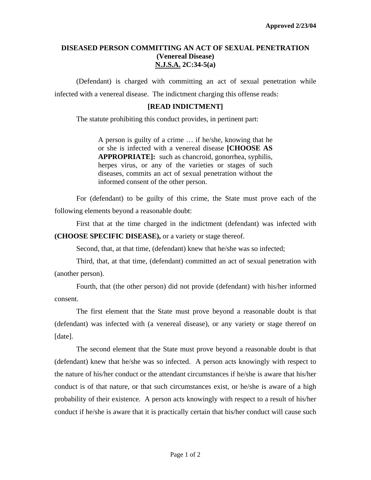## **DISEASED PERSON COMMITTING AN ACT OF SEXUAL PENETRATION (Venereal Disease) N.J.S.A. 2C:34-5(a)**

 (Defendant) is charged with committing an act of sexual penetration while infected with a venereal disease. The indictment charging this offense reads:

## **[READ INDICTMENT]**

The statute prohibiting this conduct provides, in pertinent part:

A person is guilty of a crime … if he/she, knowing that he or she is infected with a venereal disease **[CHOOSE AS APPROPRIATE]:** such as chancroid, gonorrhea, syphilis, herpes virus, or any of the varieties or stages of such diseases, commits an act of sexual penetration without the informed consent of the other person.

 For (defendant) to be guilty of this crime, the State must prove each of the following elements beyond a reasonable doubt:

First that at the time charged in the indictment (defendant) was infected with **(CHOOSE SPECIFIC DISEASE),** or a variety or stage thereof.

Second, that, at that time, (defendant) knew that he/she was so infected;

Third, that, at that time, (defendant) committed an act of sexual penetration with (another person).

Fourth, that (the other person) did not provide (defendant) with his/her informed consent.

 The first element that the State must prove beyond a reasonable doubt is that (defendant) was infected with (a venereal disease), or any variety or stage thereof on [date].

<span id="page-0-0"></span> The second element that the State must prove beyond a reasonable doubt is that (defendant) knew that he/she was so infected. A person acts knowingly with respect to the nature of his/her conduct or the attendant circumstances if he/she is aware that his/her conduct is of that nature, or that such circumstances exist, or he/she is aware of a high probability of their existence. A person acts knowingly with respect to a result of his/her conduct if he/she is aware that it is practically certain that his/her conduct will cause such